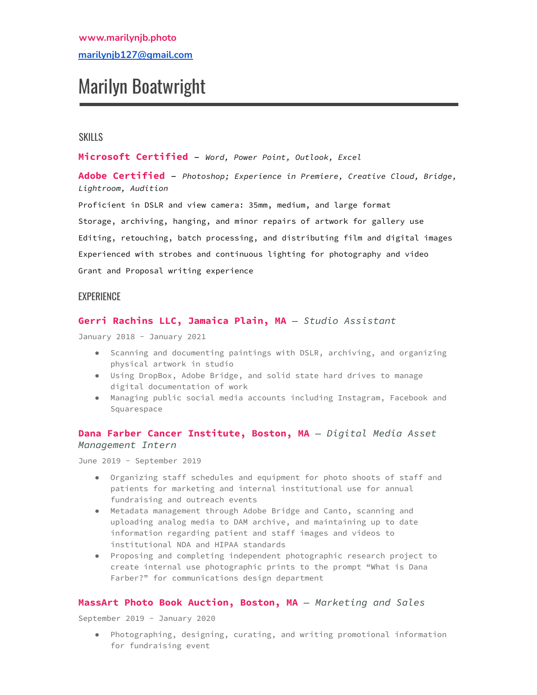# Marilyn Boatwright

# **SKILLS**

**Microsoft Certified** – *Word, Power Point, Outlook, Excel*

**Adobe Certified** – *Photoshop; Experience in Premiere, Creative Cloud, Bridge, Lightroom, Audition*

Proficient in DSLR and view camera: 35mm, medium, and large format Storage, archiving, hanging, and minor repairs of artwork for gallery use Editing, retouching, batch processing, and distributing film and digital images Experienced with strobes and continuous lighting for photography and video Grant and Proposal writing experience

## **EXPERIENCE**

# **Gerri Rachins LLC, Jamaica Plain, MA** *— Studio Assistant*

January 2018 - January 2021

- Scanning and documenting paintings with DSLR, archiving, and organizing physical artwork in studio
- Using DropBox, Adobe Bridge, and solid state hard drives to manage digital documentation of work
- Managing public social media accounts including Instagram, Facebook and Squarespace

## **Dana Farber Cancer Institute, Boston, MA** *— Digital Media Asset Management Intern*

June 2019 - September 2019

- Organizing staff schedules and equipment for photo shoots of staff and patients for marketing and internal institutional use for annual fundraising and outreach events
- Metadata management through Adobe Bridge and Canto, scanning and uploading analog media to DAM archive, and maintaining up to date information regarding patient and staff images and videos to institutional NDA and HIPAA standards
- Proposing and completing independent photographic research project to create internal use photographic prints to the prompt "What is Dana Farber?" for communications design department

## **MassArt Photo Book Auction, Boston, MA** *— Marketing and Sales*

September 2019 - January 2020

● Photographing, designing, curating, and writing promotional information for fundraising event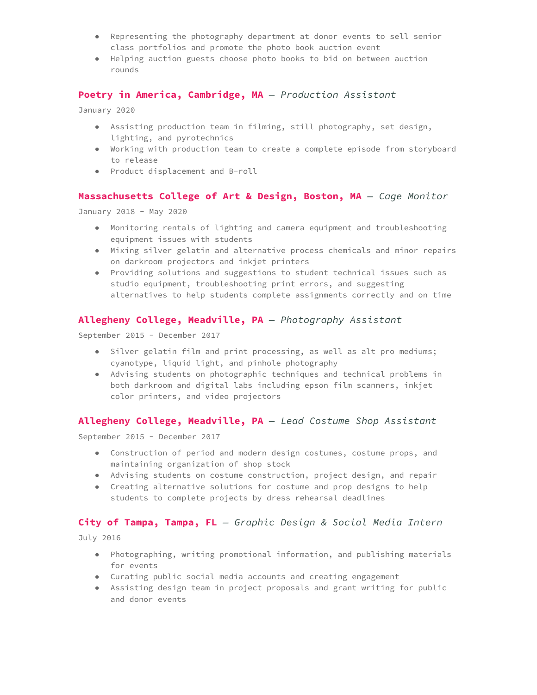- Representing the photography department at donor events to sell senior class portfolios and promote the photo book auction event
- Helping auction guests choose photo books to bid on between auction rounds

### **Poetry in America, Cambridge, MA** *— Production Assistant*

January 2020

- Assisting production team in filming, still photography, set design, lighting, and pyrotechnics
- Working with production team to create a complete episode from storyboard to release
- Product displacement and B-roll

## **Massachusetts College of Art & Design, Boston, MA** *— Cage Monitor*

January 2018 - May 2020

- Monitoring rentals of lighting and camera equipment and troubleshooting equipment issues with students
- Mixing silver gelatin and alternative process chemicals and minor repairs on darkroom projectors and inkjet printers
- Providing solutions and suggestions to student technical issues such as studio equipment, troubleshooting print errors, and suggesting alternatives to help students complete assignments correctly and on time

## **Allegheny College, Meadville, PA** *— Photography Assistant*

September 2015 - December 2017

- Silver gelatin film and print processing, as well as alt pro mediums; cyanotype, liquid light, and pinhole photography
- Advising students on photographic techniques and technical problems in both darkroom and digital labs including epson film scanners, inkjet color printers, and video projectors

#### **Allegheny College, Meadville, PA** *— Lead Costume Shop Assistant*

September 2015 - December 2017

- Construction of period and modern design costumes, costume props, and maintaining organization of shop stock
- Advising students on costume construction, project design, and repair
- Creating alternative solutions for costume and prop designs to help students to complete projects by dress rehearsal deadlines

#### **City of Tampa, Tampa, FL** *— Graphic Design & Social Media Intern*

July 2016

- Photographing, writing promotional information, and publishing materials for events
- Curating public social media accounts and creating engagement
- Assisting design team in project proposals and grant writing for public and donor events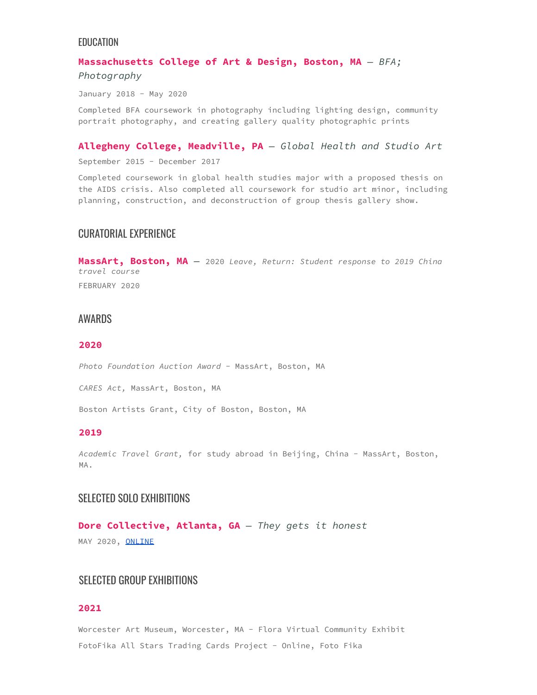## EDUCATION

# **Massachusetts College of Art & Design, Boston, MA** *— BFA; Photography*

January 2018 - May 2020

Completed BFA coursework in photography including lighting design, community portrait photography, and creating gallery quality photographic prints

#### **Allegheny College, Meadville, PA** *— Global Health and Studio Art*

September 2015 - December 2017

Completed coursework in global health studies major with a proposed thesis on the AIDS crisis. Also completed all coursework for studio art minor, including planning, construction, and deconstruction of group thesis gallery show.

# CURATORIAL EXPERIENCE

**MassArt, Boston, MA** *—* 2020 *Leave, Return: Student response to 2019 China travel course* FEBRUARY 2020

# AWARDS

#### **2020**

*Photo Foundation Auction Award* - MassArt, Boston, MA

*CARES Act,* MassArt, Boston, MA

Boston Artists Grant, City of Boston, Boston, MA

#### **2019**

*Academic Travel Grant,* for study abroad in Beijing, China - MassArt, Boston, MA.

# SELECTED SOLO EXHIBITIONS

**Dore Collective, Atlanta, GA** *— They gets it honest* MAY 2020, [ONLINE](https://www.thedorecollective.com/they-gets-it-honest-marilyn-boatwright)

# SELECTED GROUP EXHIBITIONS

## **2021**

Worcester Art Museum, Worcester, MA - Flora Virtual Community Exhibit FotoFika All Stars Trading Cards Project - Online, Foto Fika